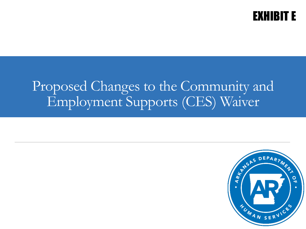

## Proposed Changes to the Community and Employment Supports (CES) Waiver

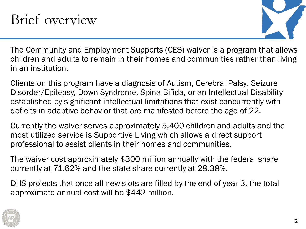## Brief overview



The Community and Employment Supports (CES) waiver is a program that allows children and adults to remain in their homes and communities rather than living in an institution.

Clients on this program have a diagnosis of Autism, Cerebral Palsy, Seizure Disorder/Epilepsy, Down Syndrome, Spina Bifida, or an Intellectual Disability established by significant intellectual limitations that exist concurrently with deficits in adaptive behavior that are manifested before the age of 22.

Currently the waiver serves approximately 5,400 children and adults and the most utilized service is Supportive Living which allows a direct support professional to assist clients in their homes and communities.

The waiver cost approximately \$300 million annually with the federal share currently at 71.62% and the state share currently at 28.38%.

DHS projects that once all new slots are filled by the end of year 3, the total approximate annual cost will be \$442 million.

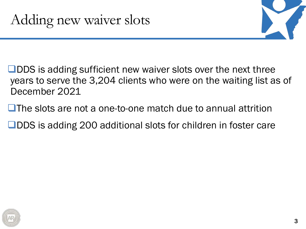

 $\Box$ DDS is adding sufficient new waiver slots over the next three years to serve the 3,204 clients who were on the waiting list as of December 2021

 $\Box$  The slots are not a one-to-one match due to annual attrition

**ODDS** is adding 200 additional slots for children in foster care

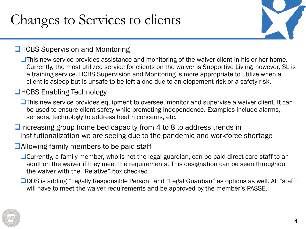# Changes to Services to clients

### **QHCBS Supervision and Monitoring**

 $\Box$ This new service provides assistance and monitoring of the waiver client in his or her home. Currently, the most utilized service for clients on the waiver is Supportive Living; however, SL is a training service. HCBS Supervision and Monitoring is more appropriate to utilize when a client is asleep but is unsafe to be left alone due to an elopement risk or a safety risk.

#### **■HCBS Enabling Technology**

 $\Box$ This new service provides equipment to oversee, monitor and supervise a waiver client. It can be used to ensure client safety while promoting independence. Examples include alarms, sensors, technology to address health concerns, etc.

 $\Box$  Increasing group home bed capacity from 4 to 8 to address trends in institutionalization we are seeing due to the pandemic and workforce shortage

#### **Allowing family members to be paid staff**

 $\Box$  Currently, a family member, who is not the legal guardian, can be paid direct care staff to an adult on the waiver if they meet the requirements. This designation can be seen throughout the waiver with the "Relative" box checked.

■ DDS is adding "Legally Responsible Person" and "Legal Guardian" as options as well. All "staff" will have to meet the waiver requirements and be approved by the member's PASSE.

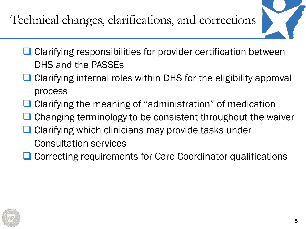Technical changes, clarifications, and corrections

- $\Box$  Clarifying responsibilities for provider certification between DHS and the PASSEs
- Clarifying internal roles within DHS for the eligibility approval process
- $\Box$  Clarifying the meaning of "administration" of medication
- $\Box$  Changing terminology to be consistent throughout the waiver
- **□ Clarifying which clinicians may provide tasks under** Consultation services
- **□ Correcting requirements for Care Coordinator qualifications**

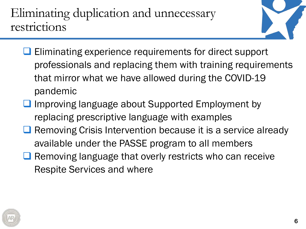Eliminating duplication and unnecessary restrictions



- **Eliminating experience requirements for direct support** professionals and replacing them with training requirements that mirror what we have allowed during the COVID-19 pandemic
- $\Box$  Improving language about Supported Employment by replacing prescriptive language with examples
- **Q** Removing Crisis Intervention because it is a service already available under the PASSE program to all members
- $\Box$  Removing language that overly restricts who can receive Respite Services and where